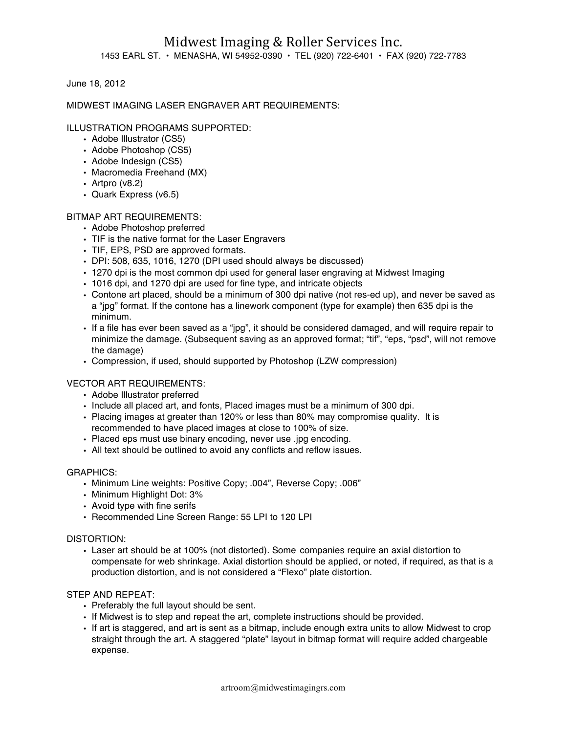June 18, 2012

# MIDWEST IMAGING LASER ENGRAVER ART REQUIREMENTS:

# ILLUSTRATION PROGRAMS SUPPORTED:

- Adobe Illustrator (CS5)
- Adobe Photoshop (CS5)
- Adobe Indesign (CS5)
- Macromedia Freehand (MX)
- Artpro (v8.2)
- Quark Express (v6.5)

## BITMAP ART REQUIREMENTS:

- Adobe Photoshop preferred
- TIF is the native format for the Laser Engravers
- TIF, EPS, PSD are approved formats.
- DPI: 508, 635, 1016, 1270 (DPI used should always be discussed)
- 1270 dpi is the most common dpi used for general laser engraving at Midwest Imaging
- 1016 dpi, and 1270 dpi are used for fine type, and intricate objects
- Contone art placed, should be a minimum of 300 dpi native (not res-ed up), and never be saved as a "jpg" format. If the contone has a linework component (type for example) then 635 dpi is the minimum.
- If a file has ever been saved as a "jpg", it should be considered damaged, and will require repair to minimize the damage. (Subsequent saving as an approved format; "tif", "eps, "psd", will not remove the damage)
- Compression, if used, should supported by Photoshop (LZW compression)

## VECTOR ART REQUIREMENTS:

- Adobe Illustrator preferred
- Include all placed art, and fonts, Placed images must be a minimum of 300 dpi.
- Placing images at greater than 120% or less than 80% may compromise quality. It is recommended to have placed images at close to 100% of size.
- Placed eps must use binary encoding, never use .jpg encoding.
- All text should be outlined to avoid any conflicts and reflow issues.

## GRAPHICS:

- Minimum Line weights: Positive Copy; .004", Reverse Copy; .006"
- Minimum Highlight Dot: 3%
- Avoid type with fine serifs
- Recommended Line Screen Range: 55 LPI to 120 LPI

## DISTORTION:

• Laser art should be at 100% (not distorted). Some companies require an axial distortion to compensate for web shrinkage. Axial distortion should be applied, or noted, if required, as that is a production distortion, and is not considered a "Flexo" plate distortion.

## STEP AND REPEAT:

- Preferably the full layout should be sent.
- If Midwest is to step and repeat the art, complete instructions should be provided.
- If art is staggered, and art is sent as a bitmap, include enough extra units to allow Midwest to crop straight through the art. A staggered "plate" layout in bitmap format will require added chargeable expense.